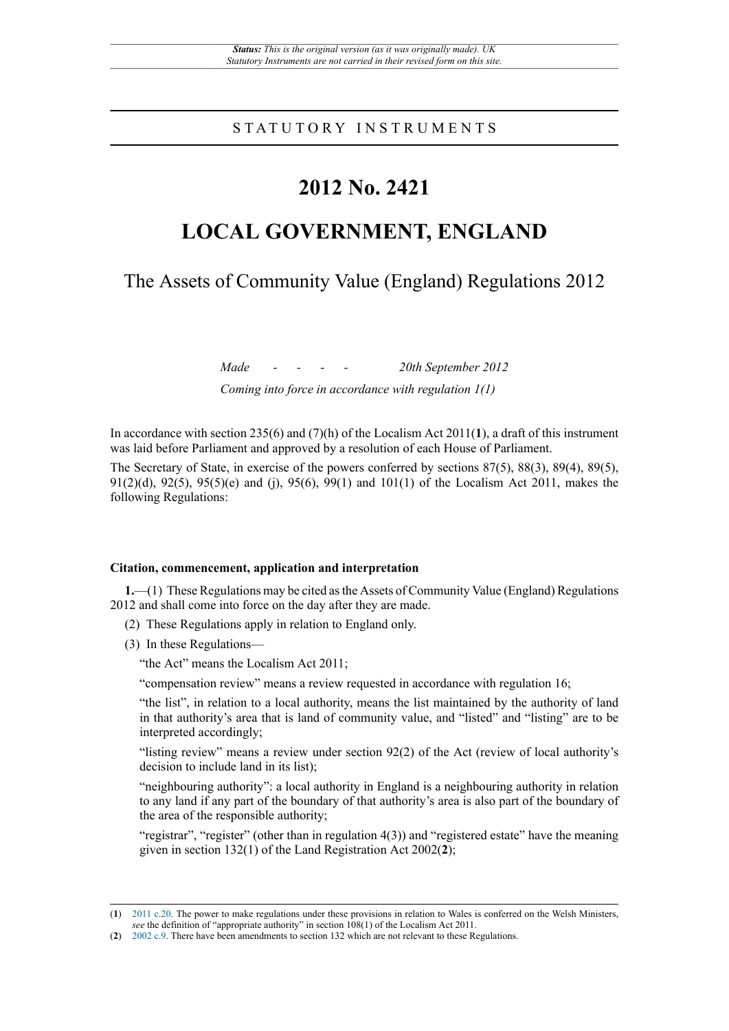# STATUTORY INSTRUMENTS

# **2012 No. 2421**

# **LOCAL GOVERNMENT, ENGLAND**

The Assets of Community Value (England) Regulations 2012

*Made - - - - 20th September 2012 Coming into force in accordance with regulation 1(1)*

In accordance with section 235(6) and (7)(h) of the Localism Act 2011(**1**), a draft of this instrument was laid before Parliament and approved by a resolution of each House of Parliament.

The Secretary of State, in exercise of the powers conferred by sections 87(5), 88(3), 89(4), 89(5), 91(2)(d), 92(5), 95(5)(e) and (j), 95(6), 99(1) and 101(1) of the Localism Act 2011, makes the following Regulations:

### **Citation, commencement, application and interpretation**

**1.**—(1) These Regulations may be cited as the Assets of Community Value (England) Regulations 2012 and shall come into force on the day after they are made.

- (2) These Regulations apply in relation to England only.
- (3) In these Regulations—

"the Act" means the Localism Act 2011;

"compensation review" means a review requested in accordance with regulation 16;

"the list", in relation to a local authority, means the list maintained by the authority of land in that authority's area that is land of community value, and "listed" and "listing" are to be interpreted accordingly;

"listing review" means a review under section 92(2) of the Act (review of local authority's decision to include land in its list);

"neighbouring authority": a local authority in England is a neighbouring authority in relation to any land if any part of the boundary of that authority's area is also part of the boundary of the area of the responsible authority;

"registrar", "register" (other than in regulation 4(3)) and "registered estate" have the meaning given in section 132(1) of the Land Registration Act 2002(**2**);

<sup>(</sup>**1**) [2011 c.20.](http://www.legislation.gov.uk/id/ukpga/2011/20) The power to make regulations under these provisions in relation to Wales is conferred on the Welsh Ministers, *see* the definition of "appropriate authority" in section 108(1) of the Localism Act 2011.

<sup>(</sup>**2**) [2002 c.9.](http://www.legislation.gov.uk/id/ukpga/2002/9) There have been amendments to section 132 which are not relevant to these Regulations.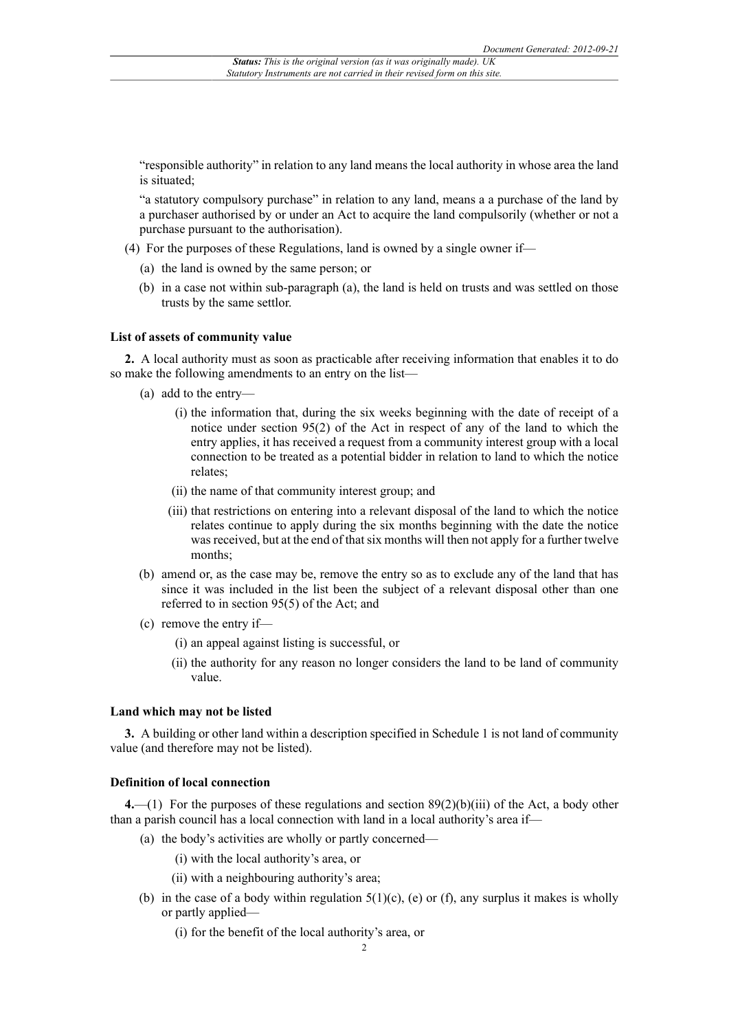"responsible authority" in relation to any land means the local authority in whose area the land is situated;

"a statutory compulsory purchase" in relation to any land, means a a purchase of the land by a purchaser authorised by or under an Act to acquire the land compulsorily (whether or not a purchase pursuant to the authorisation).

- (4) For the purposes of these Regulations, land is owned by a single owner if—
	- (a) the land is owned by the same person; or
	- (b) in a case not within sub-paragraph (a), the land is held on trusts and was settled on those trusts by the same settlor.

#### **List of assets of community value**

**2.** A local authority must as soon as practicable after receiving information that enables it to do so make the following amendments to an entry on the list—

- (a) add to the entry—
	- (i) the information that, during the six weeks beginning with the date of receipt of a notice under section 95(2) of the Act in respect of any of the land to which the entry applies, it has received a request from a community interest group with a local connection to be treated as a potential bidder in relation to land to which the notice relates;
	- (ii) the name of that community interest group; and
	- (iii) that restrictions on entering into a relevant disposal of the land to which the notice relates continue to apply during the six months beginning with the date the notice was received, but at the end of that six months will then not apply for a further twelve months;
- (b) amend or, as the case may be, remove the entry so as to exclude any of the land that has since it was included in the list been the subject of a relevant disposal other than one referred to in section 95(5) of the Act; and
- (c) remove the entry if—
	- (i) an appeal against listing is successful, or
	- (ii) the authority for any reason no longer considers the land to be land of community value.

#### **Land which may not be listed**

**3.** A building or other land within a description specified in Schedule 1 is not land of community value (and therefore may not be listed).

## **Definition of local connection**

**4.**—(1) For the purposes of these regulations and section 89(2)(b)(iii) of the Act, a body other than a parish council has a local connection with land in a local authority's area if—

- (a) the body's activities are wholly or partly concerned—
	- (i) with the local authority's area, or
	- (ii) with a neighbouring authority's area;
- (b) in the case of a body within regulation  $5(1)(c)$ , (e) or (f), any surplus it makes is wholly or partly applied—
	- (i) for the benefit of the local authority's area, or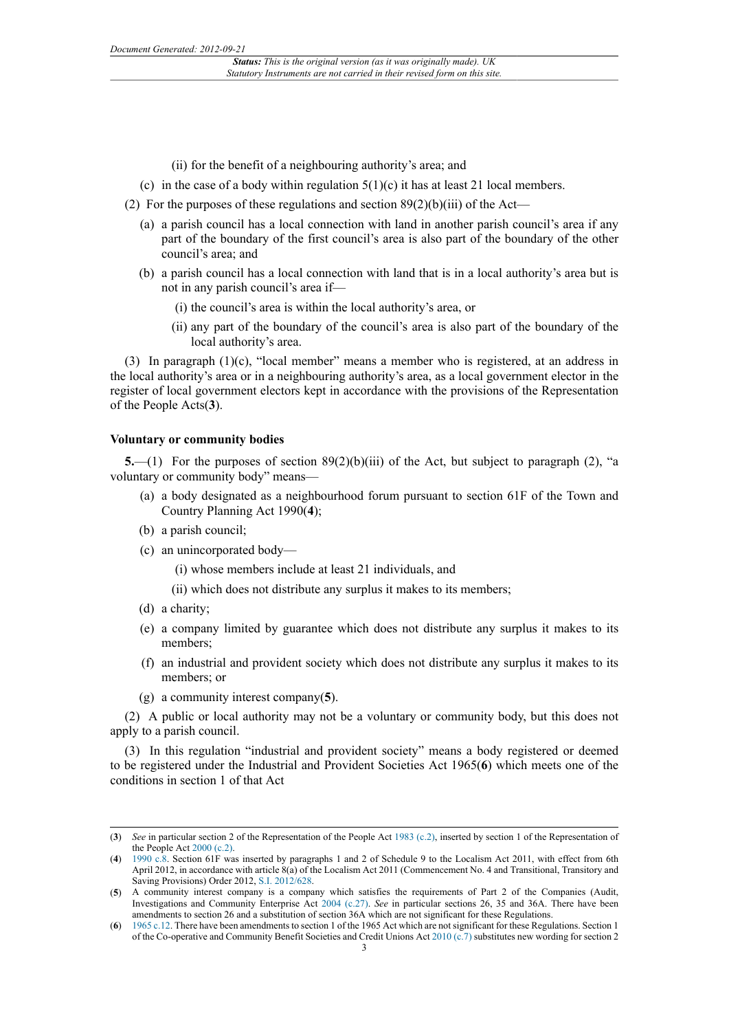- (ii) for the benefit of a neighbouring authority's area; and
- (c) in the case of a body within regulation  $5(1)(c)$  it has at least 21 local members.
- (2) For the purposes of these regulations and section  $89(2)(b)(iii)$  of the Act—
	- (a) a parish council has a local connection with land in another parish council's area if any part of the boundary of the first council's area is also part of the boundary of the other council's area; and
	- (b) a parish council has a local connection with land that is in a local authority's area but is not in any parish council's area if—
		- (i) the council's area is within the local authority's area, or
		- (ii) any part of the boundary of the council's area is also part of the boundary of the local authority's area.

(3) In paragraph (1)(c), "local member" means a member who is registered, at an address in the local authority's area or in a neighbouring authority's area, as a local government elector in the register of local government electors kept in accordance with the provisions of the Representation of the People Acts(**3**).

#### **Voluntary or community bodies**

**5.**—(1) For the purposes of section 89(2)(b)(iii) of the Act, but subject to paragraph (2), "a voluntary or community body" means—

- (a) a body designated as a neighbourhood forum pursuant to section 61F of the Town and Country Planning Act 1990(**4**);
- (b) a parish council;
- (c) an unincorporated body—
	- (i) whose members include at least 21 individuals, and
	- (ii) which does not distribute any surplus it makes to its members;
- (d) a charity;
- (e) a company limited by guarantee which does not distribute any surplus it makes to its members;
- (f) an industrial and provident society which does not distribute any surplus it makes to its members; or
- (g) a community interest company(**5**).

(2) A public or local authority may not be a voluntary or community body, but this does not apply to a parish council.

(3) In this regulation "industrial and provident society" means a body registered or deemed to be registered under the Industrial and Provident Societies Act 1965(**6**) which meets one of the conditions in section 1 of that Act

<sup>(</sup>**3**) *See* in particular section 2 of the Representation of the People Act [1983 \(c.2\)](http://www.legislation.gov.uk/id/ukpga/1983/2), inserted by section 1 of the Representation of the People Act [2000 \(c.2\).](http://www.legislation.gov.uk/id/ukpga/2000/2)

<sup>(</sup>**4**) [1990 c.8](http://www.legislation.gov.uk/id/ukpga/1990/8). Section 61F was inserted by paragraphs 1 and 2 of Schedule 9 to the Localism Act 2011, with effect from 6th April 2012, in accordance with article 8(a) of the Localism Act 2011 (Commencement No. 4 and Transitional, Transitory and Saving Provisions) Order 2012, [S.I. 2012/628.](http://www.legislation.gov.uk/id/uksi/2012/628)

<sup>(</sup>**5**) A community interest company is a company which satisfies the requirements of Part 2 of the Companies (Audit, Investigations and Community Enterprise Act [2004 \(c.27\).](http://www.legislation.gov.uk/id/ukpga/2004/27) *See* in particular sections 26, 35 and 36A. There have been amendments to section 26 and a substitution of section 36A which are not significant for these Regulations.

<sup>(</sup>**6**) [1965 c.12](http://www.legislation.gov.uk/id/ukpga/1965/12). There have been amendments to section 1 of the 1965 Act which are not significant for these Regulations. Section 1 of the Co-operative and Community Benefit Societies and Credit Unions Act [2010 \(c.7\)](http://www.legislation.gov.uk/id/ukpga/2010/7) substitutes new wording for section 2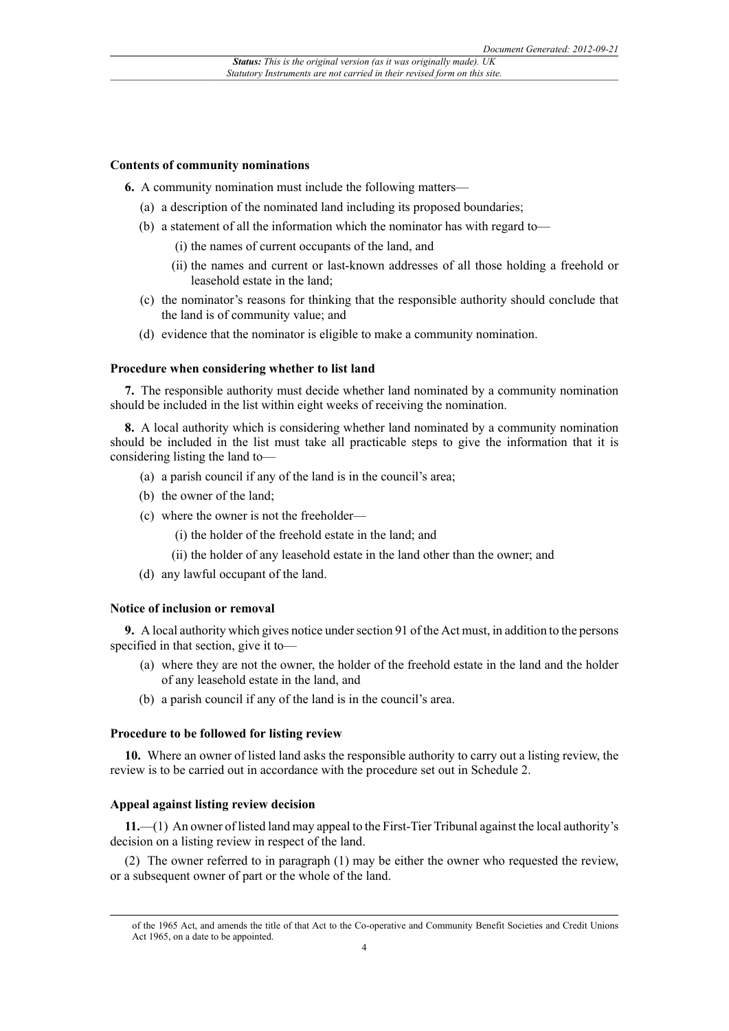#### **Contents of community nominations**

**6.** A community nomination must include the following matters—

- (a) a description of the nominated land including its proposed boundaries;
- (b) a statement of all the information which the nominator has with regard to—
	- (i) the names of current occupants of the land, and
	- (ii) the names and current or last-known addresses of all those holding a freehold or leasehold estate in the land;
- (c) the nominator's reasons for thinking that the responsible authority should conclude that the land is of community value; and
- (d) evidence that the nominator is eligible to make a community nomination.

# **Procedure when considering whether to list land**

**7.** The responsible authority must decide whether land nominated by a community nomination should be included in the list within eight weeks of receiving the nomination.

**8.** A local authority which is considering whether land nominated by a community nomination should be included in the list must take all practicable steps to give the information that it is considering listing the land to—

- (a) a parish council if any of the land is in the council's area;
- (b) the owner of the land;
- (c) where the owner is not the freeholder—
	- (i) the holder of the freehold estate in the land; and
	- (ii) the holder of any leasehold estate in the land other than the owner; and
- (d) any lawful occupant of the land.

#### **Notice of inclusion or removal**

**9.** A local authority which gives notice under section 91 of the Act must, in addition to the persons specified in that section, give it to—

- (a) where they are not the owner, the holder of the freehold estate in the land and the holder of any leasehold estate in the land, and
- (b) a parish council if any of the land is in the council's area.

#### **Procedure to be followed for listing review**

**10.** Where an owner of listed land asks the responsible authority to carry out a listing review, the review is to be carried out in accordance with the procedure set out in Schedule 2.

#### **Appeal against listing review decision**

**11.**—(1) An owner of listed land may appeal to the First-Tier Tribunal against the local authority's decision on a listing review in respect of the land.

(2) The owner referred to in paragraph (1) may be either the owner who requested the review, or a subsequent owner of part or the whole of the land.

of the 1965 Act, and amends the title of that Act to the Co-operative and Community Benefit Societies and Credit Unions Act 1965, on a date to be appointed.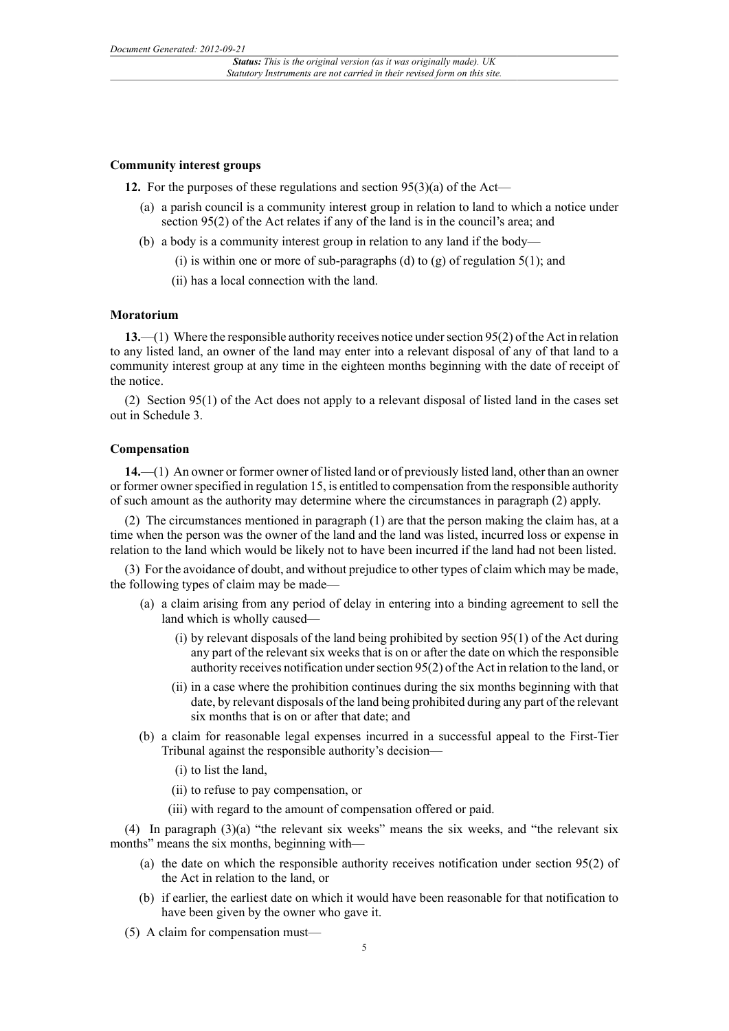#### **Community interest groups**

**12.** For the purposes of these regulations and section 95(3)(a) of the Act—

- (a) a parish council is a community interest group in relation to land to which a notice under section 95(2) of the Act relates if any of the land is in the council's area; and
- (b) a body is a community interest group in relation to any land if the body—
	- (i) is within one or more of sub-paragraphs (d) to (g) of regulation  $5(1)$ ; and
	- (ii) has a local connection with the land.

# **Moratorium**

**13.**—(1) Where the responsible authority receives notice under section 95(2) of the Act in relation to any listed land, an owner of the land may enter into a relevant disposal of any of that land to a community interest group at any time in the eighteen months beginning with the date of receipt of the notice.

(2) Section 95(1) of the Act does not apply to a relevant disposal of listed land in the cases set out in Schedule 3.

# **Compensation**

**14.**—(1) An owner or former owner of listed land or of previously listed land, other than an owner or former owner specified in regulation 15, is entitled to compensation from the responsible authority of such amount as the authority may determine where the circumstances in paragraph (2) apply.

(2) The circumstances mentioned in paragraph (1) are that the person making the claim has, at a time when the person was the owner of the land and the land was listed, incurred loss or expense in relation to the land which would be likely not to have been incurred if the land had not been listed.

(3) For the avoidance of doubt, and without prejudice to other types of claim which may be made, the following types of claim may be made—

- (a) a claim arising from any period of delay in entering into a binding agreement to sell the land which is wholly caused—
	- (i) by relevant disposals of the land being prohibited by section 95(1) of the Act during any part of the relevant six weeks that is on or after the date on which the responsible authority receives notification under section 95(2) of the Act in relation to the land, or
	- (ii) in a case where the prohibition continues during the six months beginning with that date, by relevant disposals of the land being prohibited during any part of the relevant six months that is on or after that date; and
- (b) a claim for reasonable legal expenses incurred in a successful appeal to the First-Tier Tribunal against the responsible authority's decision—
	- (i) to list the land,
	- (ii) to refuse to pay compensation, or
	- (iii) with regard to the amount of compensation offered or paid.

(4) In paragraph (3)(a) "the relevant six weeks" means the six weeks, and "the relevant six months" means the six months, beginning with—

- (a) the date on which the responsible authority receives notification under section 95(2) of the Act in relation to the land, or
- (b) if earlier, the earliest date on which it would have been reasonable for that notification to have been given by the owner who gave it.
- (5) A claim for compensation must—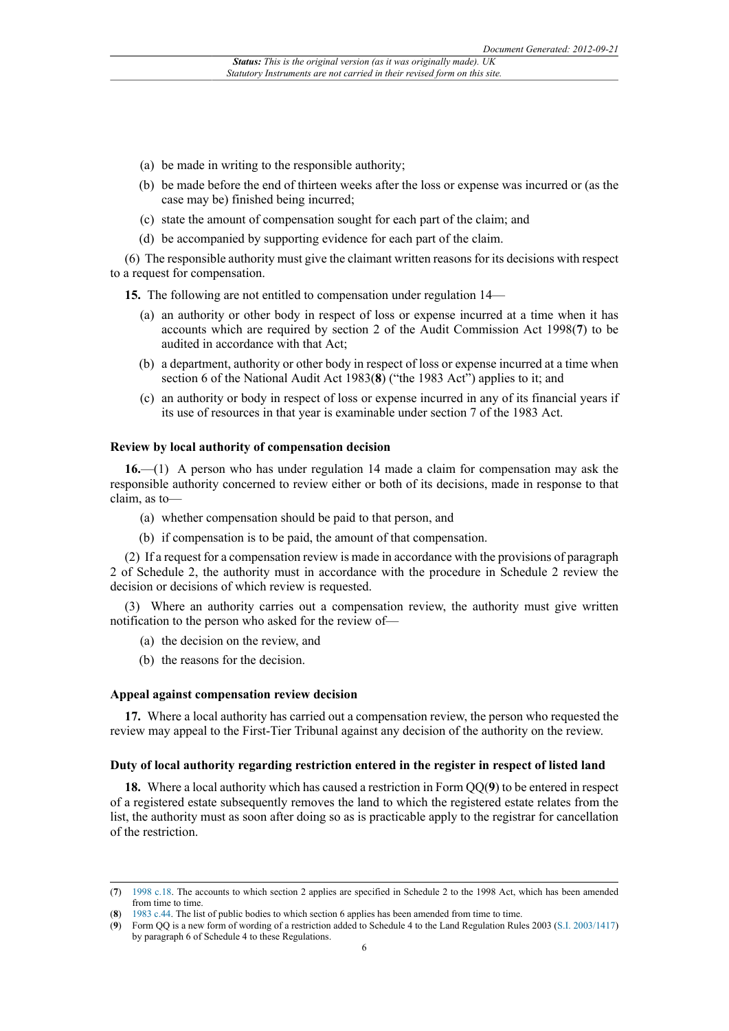- (a) be made in writing to the responsible authority;
- (b) be made before the end of thirteen weeks after the loss or expense was incurred or (as the case may be) finished being incurred;
- (c) state the amount of compensation sought for each part of the claim; and
- (d) be accompanied by supporting evidence for each part of the claim.

(6) The responsible authority must give the claimant written reasons for its decisions with respect to a request for compensation.

**15.** The following are not entitled to compensation under regulation 14—

- (a) an authority or other body in respect of loss or expense incurred at a time when it has accounts which are required by section 2 of the Audit Commission Act 1998(**7**) to be audited in accordance with that Act;
- (b) a department, authority or other body in respect of loss or expense incurred at a time when section 6 of the National Audit Act 1983(**8**) ("the 1983 Act") applies to it; and
- (c) an authority or body in respect of loss or expense incurred in any of its financial years if its use of resources in that year is examinable under section 7 of the 1983 Act.

#### **Review by local authority of compensation decision**

**16.**—(1) A person who has under regulation 14 made a claim for compensation may ask the responsible authority concerned to review either or both of its decisions, made in response to that claim, as to—

- (a) whether compensation should be paid to that person, and
- (b) if compensation is to be paid, the amount of that compensation.

(2) If a request for a compensation review is made in accordance with the provisions of paragraph 2 of Schedule 2, the authority must in accordance with the procedure in Schedule 2 review the decision or decisions of which review is requested.

(3) Where an authority carries out a compensation review, the authority must give written notification to the person who asked for the review of—

- (a) the decision on the review, and
- (b) the reasons for the decision.

#### **Appeal against compensation review decision**

**17.** Where a local authority has carried out a compensation review, the person who requested the review may appeal to the First-Tier Tribunal against any decision of the authority on the review.

#### **Duty of local authority regarding restriction entered in the register in respect of listed land**

**18.** Where a local authority which has caused a restriction in Form QQ(**9**) to be entered in respect of a registered estate subsequently removes the land to which the registered estate relates from the list, the authority must as soon after doing so as is practicable apply to the registrar for cancellation of the restriction.

<sup>(</sup>**7**) [1998 c.18](http://www.legislation.gov.uk/id/ukpga/1998/18). The accounts to which section 2 applies are specified in Schedule 2 to the 1998 Act, which has been amended from time to time.

<sup>(</sup>**8**) [1983 c.44.](http://www.legislation.gov.uk/id/ukpga/1983/44) The list of public bodies to which section 6 applies has been amended from time to time.

<sup>(</sup>**9**) Form QQ is a new form of wording of a restriction added to Schedule 4 to the Land Regulation Rules 2003 [\(S.I. 2003/1417\)](http://www.legislation.gov.uk/id/uksi/2003/1417) by paragraph 6 of Schedule 4 to these Regulations.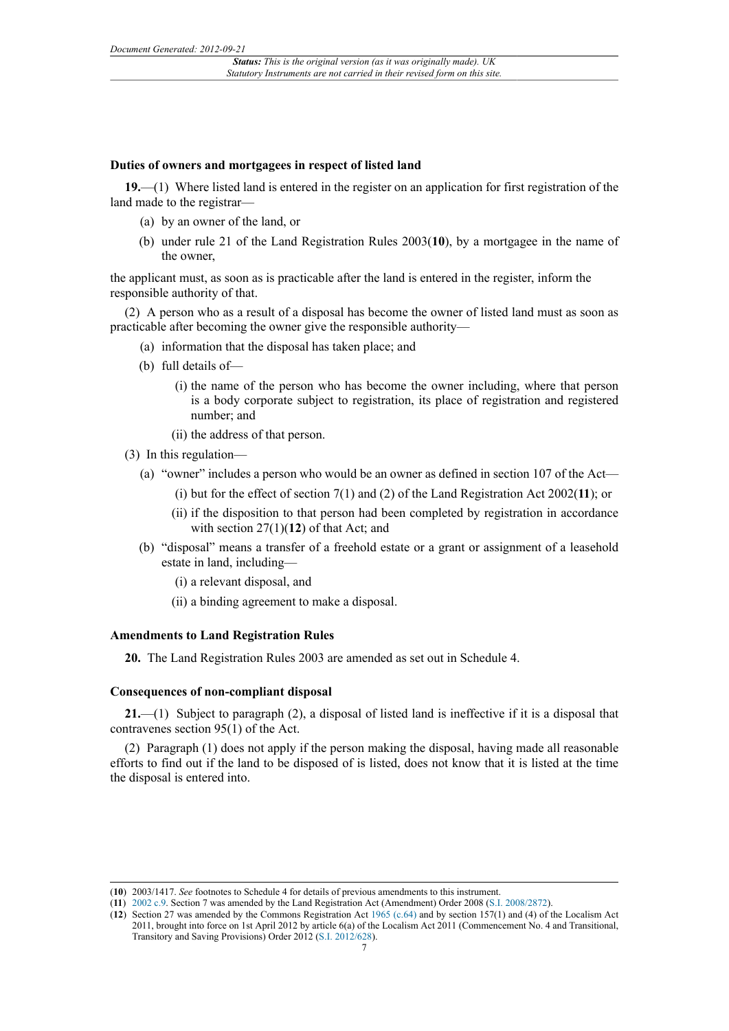#### **Duties of owners and mortgagees in respect of listed land**

**19.**—(1) Where listed land is entered in the register on an application for first registration of the land made to the registrar-

- (a) by an owner of the land, or
- (b) under rule 21 of the Land Registration Rules 2003(**10**), by a mortgagee in the name of the owner,

the applicant must, as soon as is practicable after the land is entered in the register, inform the responsible authority of that.

(2) A person who as a result of a disposal has become the owner of listed land must as soon as practicable after becoming the owner give the responsible authority—

- (a) information that the disposal has taken place; and
- (b) full details of—
	- (i) the name of the person who has become the owner including, where that person is a body corporate subject to registration, its place of registration and registered number; and
	- (ii) the address of that person.
- (3) In this regulation—
	- (a) "owner" includes a person who would be an owner as defined in section 107 of the Act—
		- (i) but for the effect of section 7(1) and (2) of the Land Registration Act 2002(**11**); or
		- (ii) if the disposition to that person had been completed by registration in accordance with section 27(1)(**12**) of that Act; and
	- (b) "disposal" means a transfer of a freehold estate or a grant or assignment of a leasehold estate in land, including—
		- (i) a relevant disposal, and
		- (ii) a binding agreement to make a disposal.

# **Amendments to Land Registration Rules**

**20.** The Land Registration Rules 2003 are amended as set out in Schedule 4.

# **Consequences of non-compliant disposal**

**21.**—(1) Subject to paragraph (2), a disposal of listed land is ineffective if it is a disposal that contravenes section 95(1) of the Act.

(2) Paragraph (1) does not apply if the person making the disposal, having made all reasonable efforts to find out if the land to be disposed of is listed, does not know that it is listed at the time the disposal is entered into.

<sup>(</sup>**10**) 2003/1417. *See* footnotes to Schedule 4 for details of previous amendments to this instrument.

<sup>(</sup>**11**) [2002 c.9.](http://www.legislation.gov.uk/id/ukpga/2002/9) Section 7 was amended by the Land Registration Act (Amendment) Order 2008 ([S.I. 2008/2872](http://www.legislation.gov.uk/id/uksi/2008/2872)).

<sup>(</sup>**12**) Section 27 was amended by the Commons Registration Act [1965 \(c.64\)](http://www.legislation.gov.uk/id/ukpga/1965/64) and by section 157(1) and (4) of the Localism Act 2011, brought into force on 1st April 2012 by article 6(a) of the Localism Act 2011 (Commencement No. 4 and Transitional, Transitory and Saving Provisions) Order 2012 ([S.I. 2012/628\)](http://www.legislation.gov.uk/id/uksi/2012/628).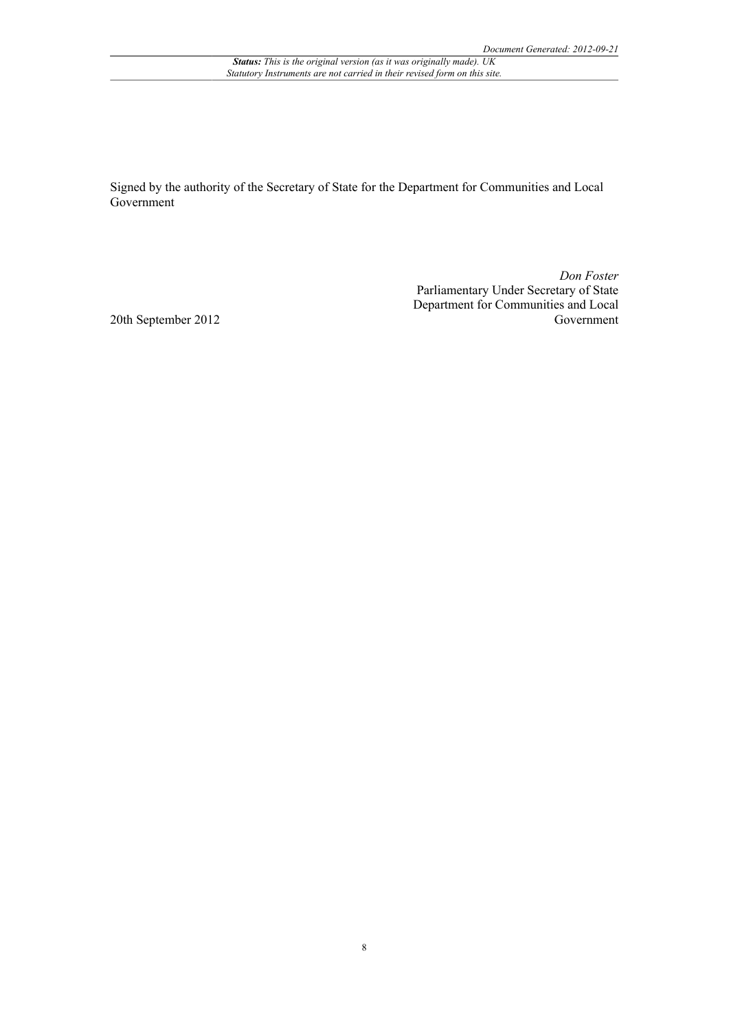Signed by the authority of the Secretary of State for the Department for Communities and Local Government

> *Don Foster* Parliamentary Under Secretary of State Department for Communities and Local Government

20th September 2012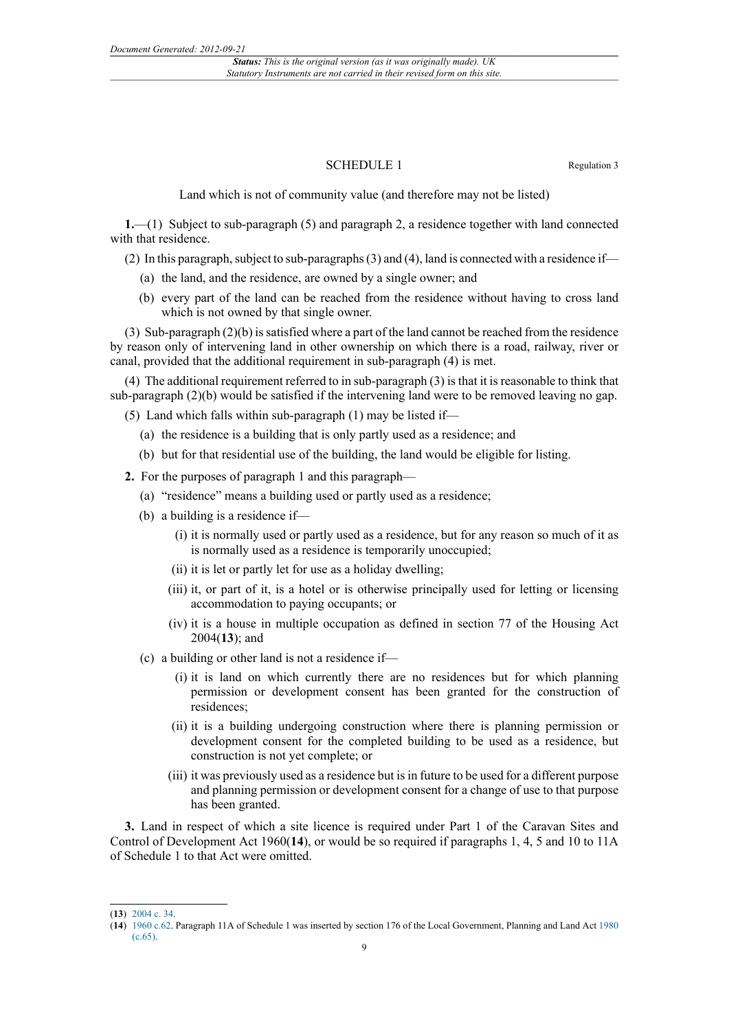# SCHEDULE 1 Regulation 3

Land which is not of community value (and therefore may not be listed)

**1.**—(1) Subject to sub-paragraph (5) and paragraph 2, a residence together with land connected with that residence.

(2) In this paragraph, subject to sub-paragraphs (3) and (4), land is connected with a residence if—

- (a) the land, and the residence, are owned by a single owner; and
- (b) every part of the land can be reached from the residence without having to cross land which is not owned by that single owner.

(3) Sub-paragraph (2)(b) is satisfied where a part of the land cannot be reached from the residence by reason only of intervening land in other ownership on which there is a road, railway, river or canal, provided that the additional requirement in sub-paragraph (4) is met.

(4) The additional requirement referred to in sub-paragraph (3) is that it is reasonable to think that sub-paragraph (2)(b) would be satisfied if the intervening land were to be removed leaving no gap.

(5) Land which falls within sub-paragraph (1) may be listed if—

- (a) the residence is a building that is only partly used as a residence; and
- (b) but for that residential use of the building, the land would be eligible for listing.

**2.** For the purposes of paragraph 1 and this paragraph—

- (a) "residence" means a building used or partly used as a residence;
- (b) a building is a residence if—
	- (i) it is normally used or partly used as a residence, but for any reason so much of it as is normally used as a residence is temporarily unoccupied;
	- (ii) it is let or partly let for use as a holiday dwelling;
	- (iii) it, or part of it, is a hotel or is otherwise principally used for letting or licensing accommodation to paying occupants; or
	- (iv) it is a house in multiple occupation as defined in section 77 of the Housing Act 2004(**13**); and
- (c) a building or other land is not a residence if—
	- (i) it is land on which currently there are no residences but for which planning permission or development consent has been granted for the construction of residences;
	- (ii) it is a building undergoing construction where there is planning permission or development consent for the completed building to be used as a residence, but construction is not yet complete; or
	- (iii) it was previously used as a residence but is in future to be used for a different purpose and planning permission or development consent for a change of use to that purpose has been granted.

**3.** Land in respect of which a site licence is required under Part 1 of the Caravan Sites and Control of Development Act 1960(**14**), or would be so required if paragraphs 1, 4, 5 and 10 to 11A of Schedule 1 to that Act were omitted.

<sup>(</sup>**13**) [2004 c. 34.](http://www.legislation.gov.uk/id/ukpga/2004/34)

<sup>(</sup>**14**) [1960 c.62](http://www.legislation.gov.uk/id/ukpga/1960/62). Paragraph 11A of Schedule 1 was inserted by section 176 of the Local Government, Planning and Land Act [1980](http://www.legislation.gov.uk/id/ukpga/1980/65) [\(c.65\).](http://www.legislation.gov.uk/id/ukpga/1980/65)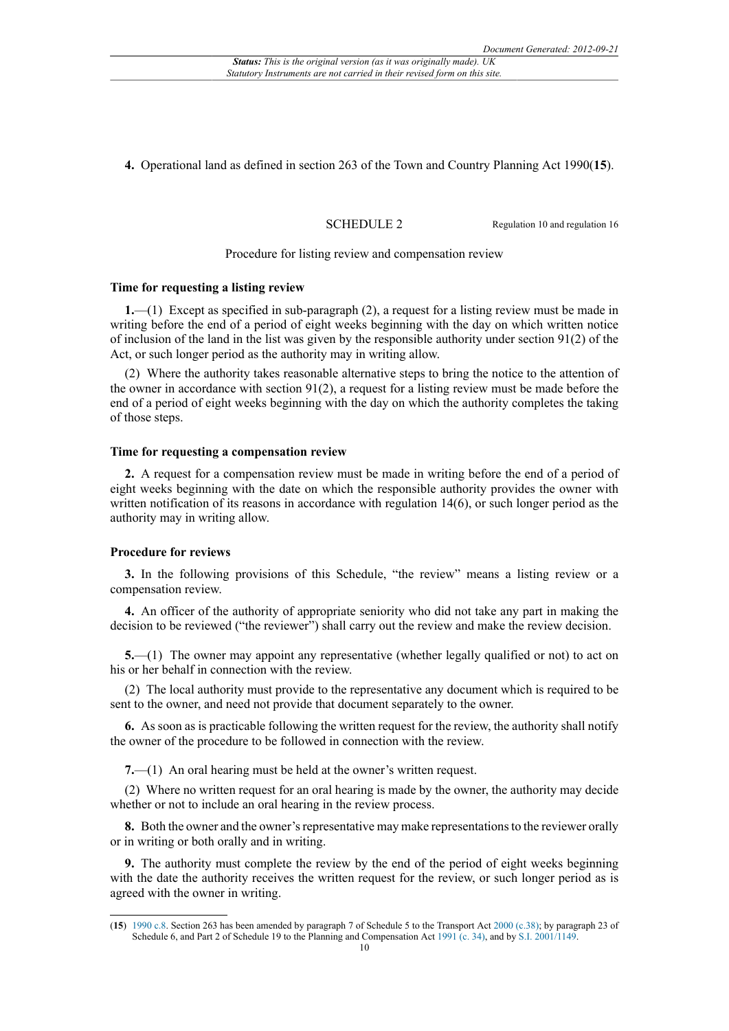**4.** Operational land as defined in section 263 of the Town and Country Planning Act 1990(**15**).

SCHEDULE 2 Regulation 10 and regulation 16

#### Procedure for listing review and compensation review

## **Time for requesting a listing review**

**1.**—(1) Except as specified in sub-paragraph (2), a request for a listing review must be made in writing before the end of a period of eight weeks beginning with the day on which written notice of inclusion of the land in the list was given by the responsible authority under section 91(2) of the Act, or such longer period as the authority may in writing allow.

(2) Where the authority takes reasonable alternative steps to bring the notice to the attention of the owner in accordance with section  $91(2)$ , a request for a listing review must be made before the end of a period of eight weeks beginning with the day on which the authority completes the taking of those steps.

#### **Time for requesting a compensation review**

**2.** A request for a compensation review must be made in writing before the end of a period of eight weeks beginning with the date on which the responsible authority provides the owner with written notification of its reasons in accordance with regulation 14(6), or such longer period as the authority may in writing allow.

#### **Procedure for reviews**

**3.** In the following provisions of this Schedule, "the review" means a listing review or a compensation review.

**4.** An officer of the authority of appropriate seniority who did not take any part in making the decision to be reviewed ("the reviewer") shall carry out the review and make the review decision.

**5.**—(1) The owner may appoint any representative (whether legally qualified or not) to act on his or her behalf in connection with the review.

(2) The local authority must provide to the representative any document which is required to be sent to the owner, and need not provide that document separately to the owner.

**6.** As soon as is practicable following the written request for the review, the authority shall notify the owner of the procedure to be followed in connection with the review.

**7.**—(1) An oral hearing must be held at the owner's written request.

(2) Where no written request for an oral hearing is made by the owner, the authority may decide whether or not to include an oral hearing in the review process.

**8.** Both the owner and the owner's representative may make representations to the reviewer orally or in writing or both orally and in writing.

**9.** The authority must complete the review by the end of the period of eight weeks beginning with the date the authority receives the written request for the review, or such longer period as is agreed with the owner in writing.

<sup>(</sup>**15**) [1990 c.8.](http://www.legislation.gov.uk/id/ukpga/1990/8) Section 263 has been amended by paragraph 7 of Schedule 5 to the Transport Act [2000 \(c.38\)](http://www.legislation.gov.uk/id/ukpga/2000/38); by paragraph 23 of Schedule 6, and Part 2 of Schedule 19 to the Planning and Compensation Act [1991 \(c. 34\)](http://www.legislation.gov.uk/id/ukpga/1991/34), and by [S.I. 2001/1149.](http://www.legislation.gov.uk/id/uksi/2001/1149)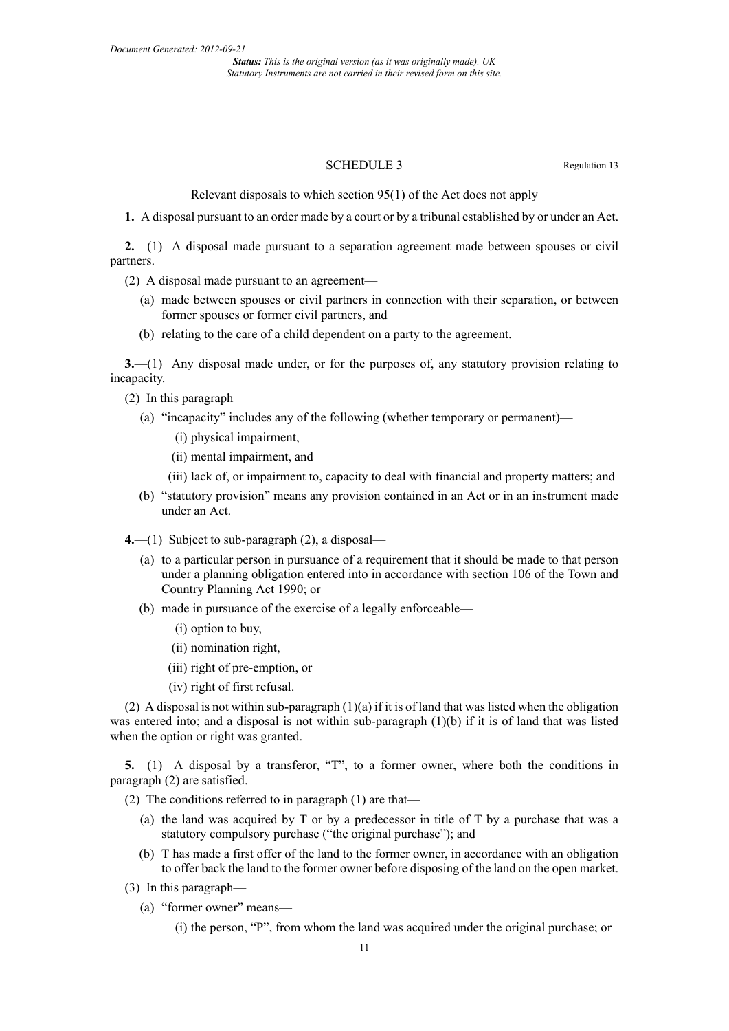### SCHEDULE 3 Regulation 13

Relevant disposals to which section 95(1) of the Act does not apply

**1.** A disposal pursuant to an order made by a court or by a tribunal established by or under an Act.

**2.**—(1) A disposal made pursuant to a separation agreement made between spouses or civil partners.

(2) A disposal made pursuant to an agreement—

- (a) made between spouses or civil partners in connection with their separation, or between former spouses or former civil partners, and
- (b) relating to the care of a child dependent on a party to the agreement.

**3.**—(1) Any disposal made under, or for the purposes of, any statutory provision relating to incapacity.

(2) In this paragraph—

- (a) "incapacity" includes any of the following (whether temporary or permanent)—
	- (i) physical impairment,
	- (ii) mental impairment, and
	- (iii) lack of, or impairment to, capacity to deal with financial and property matters; and
- (b) "statutory provision" means any provision contained in an Act or in an instrument made under an Act.
- **4.**—(1) Subject to sub-paragraph (2), a disposal—
	- (a) to a particular person in pursuance of a requirement that it should be made to that person under a planning obligation entered into in accordance with section 106 of the Town and Country Planning Act 1990; or
	- (b) made in pursuance of the exercise of a legally enforceable—
		- (i) option to buy,
		- (ii) nomination right,
		- (iii) right of pre-emption, or
		- (iv) right of first refusal.

(2) A disposal is not within sub-paragraph (1)(a) if it is of land that was listed when the obligation was entered into; and a disposal is not within sub-paragraph (1)(b) if it is of land that was listed when the option or right was granted.

**5.**—(1) A disposal by a transferor, "T", to a former owner, where both the conditions in paragraph (2) are satisfied.

(2) The conditions referred to in paragraph (1) are that—

- (a) the land was acquired by T or by a predecessor in title of T by a purchase that was a statutory compulsory purchase ("the original purchase"); and
- (b) T has made a first offer of the land to the former owner, in accordance with an obligation to offer back the land to the former owner before disposing of the land on the open market.
- (3) In this paragraph—
	- (a) "former owner" means—

(i) the person, "P", from whom the land was acquired under the original purchase; or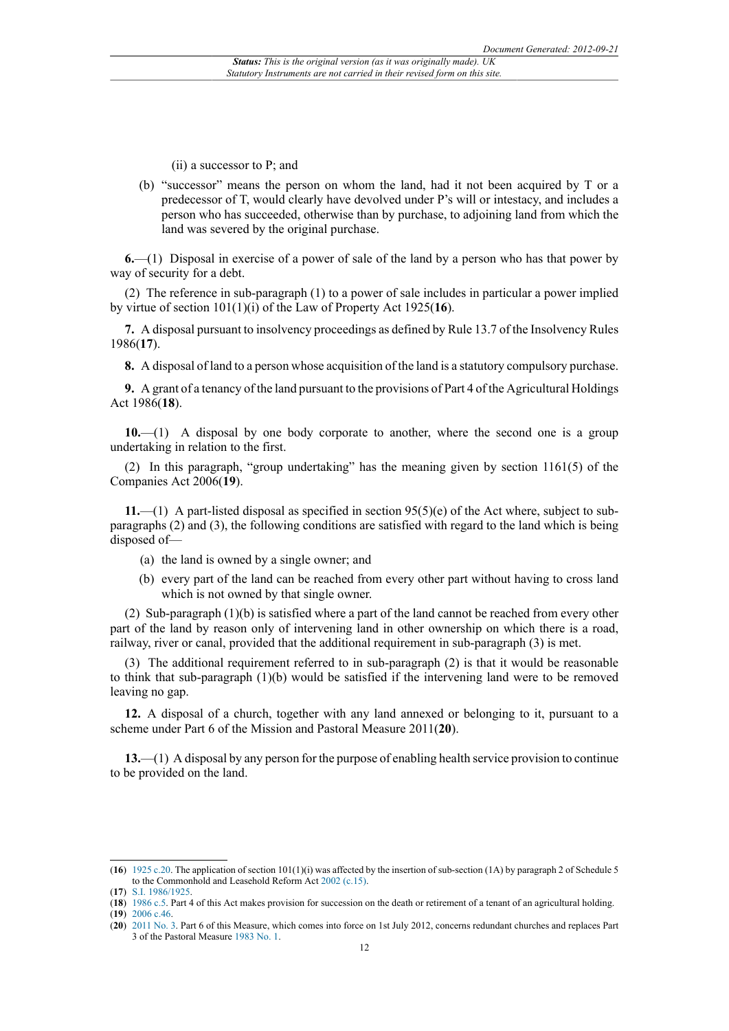(ii) a successor to P; and

(b) "successor" means the person on whom the land, had it not been acquired by T or a predecessor of T, would clearly have devolved under P's will or intestacy, and includes a person who has succeeded, otherwise than by purchase, to adjoining land from which the land was severed by the original purchase.

**6.**—(1) Disposal in exercise of a power of sale of the land by a person who has that power by way of security for a debt.

(2) The reference in sub-paragraph (1) to a power of sale includes in particular a power implied by virtue of section 101(1)(i) of the Law of Property Act 1925(**16**).

**7.** A disposal pursuant to insolvency proceedings as defined by Rule 13.7 of the Insolvency Rules 1986(**17**).

**8.** A disposal of land to a person whose acquisition of the land is a statutory compulsory purchase.

**9.** A grant of a tenancy of the land pursuant to the provisions of Part 4 of the Agricultural Holdings Act 1986(**18**).

**10.**—(1) A disposal by one body corporate to another, where the second one is a group undertaking in relation to the first.

(2) In this paragraph, "group undertaking" has the meaning given by section 1161(5) of the Companies Act 2006(**19**).

**11.**—(1) A part-listed disposal as specified in section 95(5)(e) of the Act where, subject to subparagraphs (2) and (3), the following conditions are satisfied with regard to the land which is being disposed of—

- (a) the land is owned by a single owner; and
- (b) every part of the land can be reached from every other part without having to cross land which is not owned by that single owner.

(2) Sub-paragraph (1)(b) is satisfied where a part of the land cannot be reached from every other part of the land by reason only of intervening land in other ownership on which there is a road, railway, river or canal, provided that the additional requirement in sub-paragraph (3) is met.

(3) The additional requirement referred to in sub-paragraph (2) is that it would be reasonable to think that sub-paragraph (1)(b) would be satisfied if the intervening land were to be removed leaving no gap.

**12.** A disposal of a church, together with any land annexed or belonging to it, pursuant to a scheme under Part 6 of the Mission and Pastoral Measure 2011(**20**).

**13.**—(1) A disposal by any person for the purpose of enabling health service provision to continue to be provided on the land.

<sup>(</sup>**16**) [1925 c.20](http://www.legislation.gov.uk/id/ukpga/1925/20). The application of section 101(1)(i) was affected by the insertion of sub-section (1A) by paragraph 2 of Schedule 5 to the Commonhold and Leasehold Reform Act [2002 \(c.15\)](http://www.legislation.gov.uk/id/ukpga/2002/15).

<sup>(</sup>**17**) [S.I. 1986/1925](http://www.legislation.gov.uk/id/uksi/1986/1925).

<sup>(</sup>**18**) [1986 c.5.](http://www.legislation.gov.uk/id/ukpga/1986/5) Part 4 of this Act makes provision for succession on the death or retirement of a tenant of an agricultural holding.

<sup>(</sup>**19**) [2006 c.46.](http://www.legislation.gov.uk/id/ukpga/2006/46)

<sup>(</sup>**20**) [2011 No. 3.](http://www.legislation.gov.uk/id/ukcm/2011/3) Part 6 of this Measure, which comes into force on 1st July 2012, concerns redundant churches and replaces Part 3 of the Pastoral Measure [1983 No. 1](http://www.legislation.gov.uk/id/ukcm/1983/1).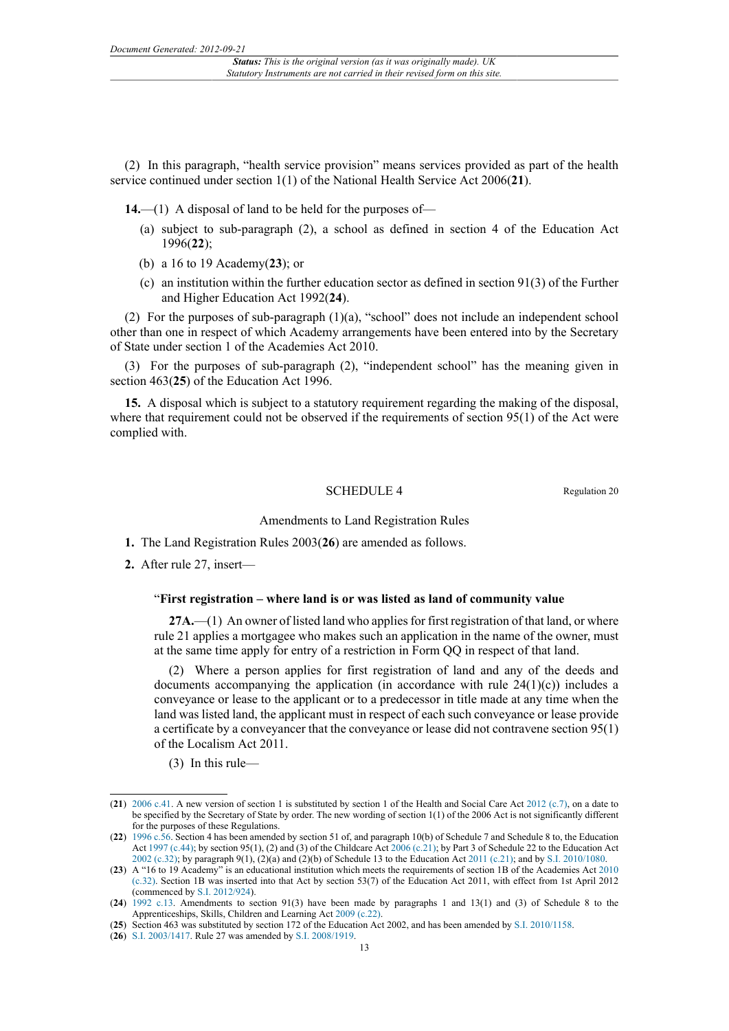(2) In this paragraph, "health service provision" means services provided as part of the health service continued under section 1(1) of the National Health Service Act 2006(**21**).

**14.**—(1) A disposal of land to be held for the purposes of—

- (a) subject to sub-paragraph (2), a school as defined in section 4 of the Education Act 1996(**22**);
- (b) a 16 to 19 Academy(**23**); or
- (c) an institution within the further education sector as defined in section 91(3) of the Further and Higher Education Act 1992(**24**).

(2) For the purposes of sub-paragraph (1)(a), "school" does not include an independent school other than one in respect of which Academy arrangements have been entered into by the Secretary of State under section 1 of the Academies Act 2010.

(3) For the purposes of sub-paragraph (2), "independent school" has the meaning given in section 463(**25**) of the Education Act 1996.

**15.** A disposal which is subject to a statutory requirement regarding the making of the disposal, where that requirement could not be observed if the requirements of section 95(1) of the Act were complied with.

## SCHEDULE 4 Regulation 20

#### Amendments to Land Registration Rules

- **1.** The Land Registration Rules 2003(**26**) are amended as follows.
- **2.** After rule 27, insert—

### "**First registration – where land is or was listed as land of community value**

**27A.**—(1) An owner of listed land who applies for first registration of that land, or where rule 21 applies a mortgagee who makes such an application in the name of the owner, must at the same time apply for entry of a restriction in Form QQ in respect of that land.

(2) Where a person applies for first registration of land and any of the deeds and documents accompanying the application (in accordance with rule  $24(1)(c)$ ) includes a conveyance or lease to the applicant or to a predecessor in title made at any time when the land was listed land, the applicant must in respect of each such conveyance or lease provide a certificate by a conveyancer that the conveyance or lease did not contravene section 95(1) of the Localism Act 2011.

(3) In this rule—

<sup>(</sup>**21**) [2006 c.41.](http://www.legislation.gov.uk/id/ukpga/2006/41) A new version of section 1 is substituted by section 1 of the Health and Social Care Act [2012 \(c.7\)](http://www.legislation.gov.uk/id/ukpga/2012/7), on a date to be specified by the Secretary of State by order. The new wording of section 1(1) of the 2006 Act is not significantly different for the purposes of these Regulations.

<sup>(</sup>**22**) [1996 c.56](http://www.legislation.gov.uk/id/ukpga/1996/56). Section 4 has been amended by section 51 of, and paragraph 10(b) of Schedule 7 and Schedule 8 to, the Education Act [1997 \(c.44\)](http://www.legislation.gov.uk/id/ukpga/1997/44); by section 95(1), (2) and (3) of the Childcare Act [2006 \(c.21\)](http://www.legislation.gov.uk/id/ukpga/2006/21); by Part 3 of Schedule 22 to the Education Act [2002 \(c.32\);](http://www.legislation.gov.uk/id/ukpga/2002/32) by paragraph 9(1), (2)(a) and (2)(b) of Schedule 13 to the Education Act [2011 \(c.21\)](http://www.legislation.gov.uk/id/ukpga/2011/21); and by [S.I. 2010/1080](http://www.legislation.gov.uk/id/uksi/2010/1080).

<sup>(</sup>**23**) A "16 to 19 Academy" is an educational institution which meets the requirements of section 1B of the Academies Act [2010](http://www.legislation.gov.uk/id/ukpga/2010/32) [\(c.32\).](http://www.legislation.gov.uk/id/ukpga/2010/32) Section 1B was inserted into that Act by section 53(7) of the Education Act 2011, with effect from 1st April 2012 (commenced by [S.I. 2012/924\)](http://www.legislation.gov.uk/id/uksi/2012/924).

<sup>(</sup>**24**) [1992 c.13](http://www.legislation.gov.uk/id/ukpga/1992/13). Amendments to section 91(3) have been made by paragraphs 1 and 13(1) and (3) of Schedule 8 to the Apprenticeships, Skills, Children and Learning Act [2009 \(c.22\).](http://www.legislation.gov.uk/id/ukpga/2009/22)

<sup>(</sup>**25**) Section 463 was substituted by section 172 of the Education Act 2002, and has been amended by [S.I. 2010/1158](http://www.legislation.gov.uk/id/uksi/2010/1158).

<sup>(</sup>**26**) [S.I. 2003/1417](http://www.legislation.gov.uk/id/uksi/2003/1417). Rule 27 was amended by [S.I. 2008/1919](http://www.legislation.gov.uk/id/uksi/2008/1919).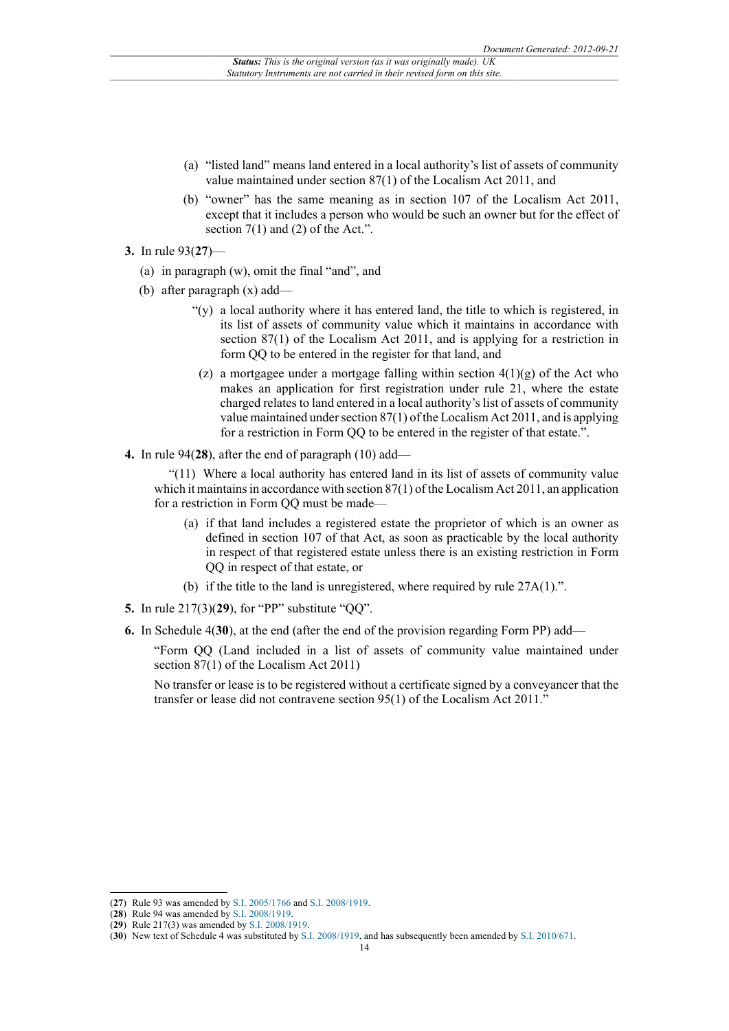- (a) "listed land" means land entered in a local authority's list of assets of community value maintained under section 87(1) of the Localism Act 2011, and
- (b) "owner" has the same meaning as in section 107 of the Localism Act 2011, except that it includes a person who would be such an owner but for the effect of section  $7(1)$  and  $(2)$  of the Act.".
- **3.** In rule 93(**27**)—
	- (a) in paragraph (w), omit the final "and", and
	- (b) after paragraph (x) add—
		- "(y) a local authority where it has entered land, the title to which is registered, in its list of assets of community value which it maintains in accordance with section 87(1) of the Localism Act 2011, and is applying for a restriction in form QQ to be entered in the register for that land, and
		- (z) a mortgagee under a mortgage falling within section  $4(1)(g)$  of the Act who makes an application for first registration under rule 21, where the estate charged relates to land entered in a local authority's list of assets of community value maintained under section 87(1) of the Localism Act 2011, and is applying for a restriction in Form QQ to be entered in the register of that estate.".
- **4.** In rule 94(**28**), after the end of paragraph (10) add—

"(11) Where a local authority has entered land in its list of assets of community value which it maintains in accordance with section 87(1) of the Localism Act 2011, an application for a restriction in Form QQ must be made—

- (a) if that land includes a registered estate the proprietor of which is an owner as defined in section 107 of that Act, as soon as practicable by the local authority in respect of that registered estate unless there is an existing restriction in Form QQ in respect of that estate, or
- (b) if the title to the land is unregistered, where required by rule 27A(1).".
- **5.** In rule 217(3)(**29**), for "PP" substitute "QQ".
- **6.** In Schedule 4(**30**), at the end (after the end of the provision regarding Form PP) add—

"Form QQ (Land included in a list of assets of community value maintained under section 87(1) of the Localism Act 2011)

No transfer or lease is to be registered without a certificate signed by a conveyancer that the transfer or lease did not contravene section 95(1) of the Localism Act 2011."

<sup>(</sup>**27**) Rule 93 was amended by [S.I. 2005/1766](http://www.legislation.gov.uk/id/uksi/2005/1766) and [S.I. 2008/1919.](http://www.legislation.gov.uk/id/uksi/2008/1919)

<sup>(</sup>**28**) Rule 94 was amended by [S.I. 2008/1919.](http://www.legislation.gov.uk/id/uksi/2008/1919)

<sup>(</sup>**29**) Rule 217(3) was amended by [S.I. 2008/1919](http://www.legislation.gov.uk/id/uksi/2008/1919).

<sup>(</sup>**30**) New text of Schedule 4 was substituted by [S.I. 2008/1919](http://www.legislation.gov.uk/id/uksi/2008/1919), and has subsequently been amended by [S.I. 2010/671.](http://www.legislation.gov.uk/id/uksi/2010/671)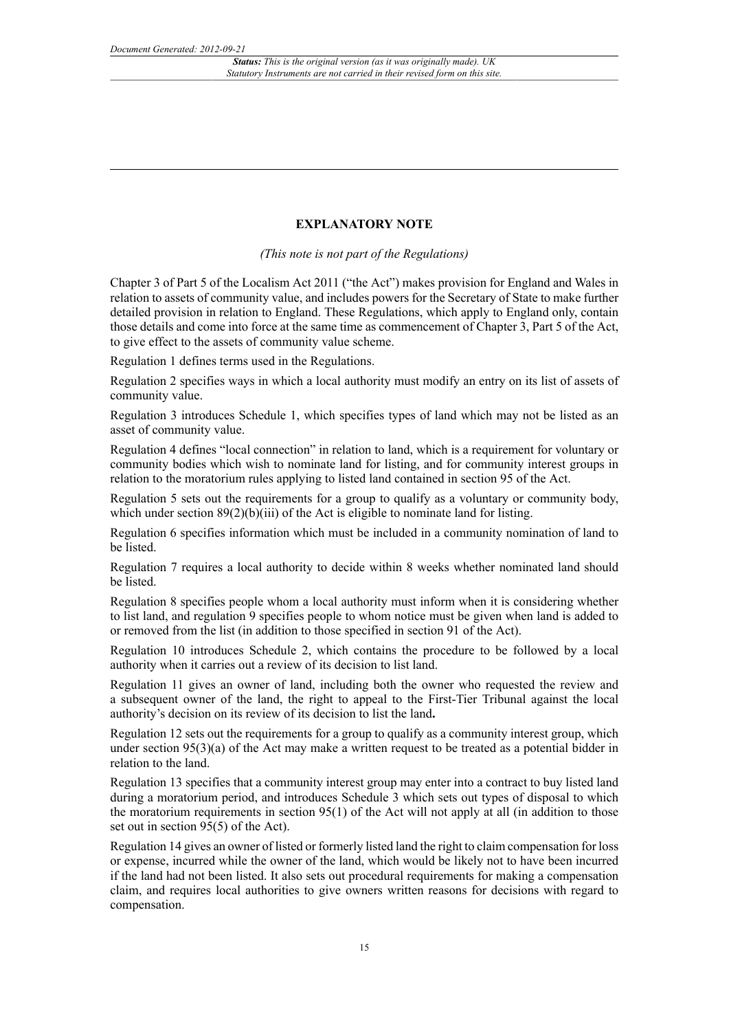# **EXPLANATORY NOTE**

*(This note is not part of the Regulations)*

Chapter 3 of Part 5 of the Localism Act 2011 ("the Act") makes provision for England and Wales in relation to assets of community value, and includes powers for the Secretary of State to make further detailed provision in relation to England. These Regulations, which apply to England only, contain those details and come into force at the same time as commencement of Chapter 3, Part 5 of the Act, to give effect to the assets of community value scheme.

Regulation 1 defines terms used in the Regulations.

Regulation 2 specifies ways in which a local authority must modify an entry on its list of assets of community value.

Regulation 3 introduces Schedule 1, which specifies types of land which may not be listed as an asset of community value.

Regulation 4 defines "local connection" in relation to land, which is a requirement for voluntary or community bodies which wish to nominate land for listing, and for community interest groups in relation to the moratorium rules applying to listed land contained in section 95 of the Act.

Regulation 5 sets out the requirements for a group to qualify as a voluntary or community body, which under section  $89(2)(b)(iii)$  of the Act is eligible to nominate land for listing.

Regulation 6 specifies information which must be included in a community nomination of land to be listed.

Regulation 7 requires a local authority to decide within 8 weeks whether nominated land should be listed.

Regulation 8 specifies people whom a local authority must inform when it is considering whether to list land, and regulation 9 specifies people to whom notice must be given when land is added to or removed from the list (in addition to those specified in section 91 of the Act).

Regulation 10 introduces Schedule 2, which contains the procedure to be followed by a local authority when it carries out a review of its decision to list land.

Regulation 11 gives an owner of land, including both the owner who requested the review and a subsequent owner of the land, the right to appeal to the First-Tier Tribunal against the local authority's decision on its review of its decision to list the land**.**

Regulation 12 sets out the requirements for a group to qualify as a community interest group, which under section  $95(3)(a)$  of the Act may make a written request to be treated as a potential bidder in relation to the land.

Regulation 13 specifies that a community interest group may enter into a contract to buy listed land during a moratorium period, and introduces Schedule 3 which sets out types of disposal to which the moratorium requirements in section 95(1) of the Act will not apply at all (in addition to those set out in section  $95(5)$  of the Act).

Regulation 14 gives an owner of listed or formerly listed land the right to claim compensation for loss or expense, incurred while the owner of the land, which would be likely not to have been incurred if the land had not been listed. It also sets out procedural requirements for making a compensation claim, and requires local authorities to give owners written reasons for decisions with regard to compensation.